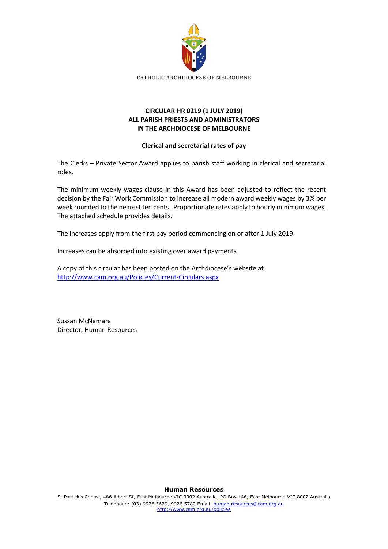

## **CIRCULAR HR 0219 (1 JULY 2019) ALL PARISH PRIESTS AND ADMINISTRATORS IN THE ARCHDIOCESE OF MELBOURNE**

### **Clerical and secretarial rates of pay**

The Clerks – Private Sector Award applies to parish staff working in clerical and secretarial roles.

The minimum weekly wages clause in this Award has been adjusted to reflect the recent decision by the Fair Work Commission to increase all modern award weekly wages by 3% per week rounded to the nearest ten cents. Proportionate rates apply to hourly minimum wages. The attached schedule provides details.

The increases apply from the first pay period commencing on or after 1 July 2019.

Increases can be absorbed into existing over award payments.

A copy of this circular has been posted on the Archdiocese's website at <http://www.cam.org.au/Policies/Current-Circulars.aspx>

Sussan McNamara Director, Human Resources

#### **Human Resources**